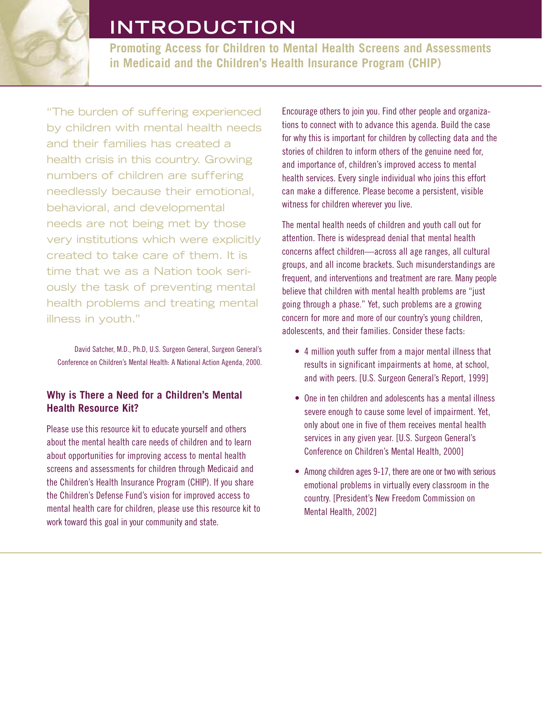# **INTRODUCTION**

**Promoting Access for Children to Mental Health Screens and Assessments in Medicaid and the Children's Health Insurance Program (CHIP)**

"The burden of suffering experienced by children with mental health needs and their families has created a health crisis in this country. Growing numbers of children are suffering needlessly because their emotional, behavioral, and developmental needs are not being met by those very institutions which were explicitly created to take care of them. It is time that we as a Nation took seriously the task of preventing mental health problems and treating mental illness in youth."

David Satcher, M.D., Ph.D, U.S. Surgeon General, Surgeon General's Conference on Children's Mental Health: A National Action Agenda, 2000.

## **Why is There a Need for a Children's Mental Health Resource Kit?**

Please use this resource kit to educate yourself and others about the mental health care needs of children and to learn about opportunities for improving access to mental health screens and assessments for children through Medicaid and the Children's Health Insurance Program (CHIP). If you share the Children's Defense Fund's vision for improved access to mental health care for children, please use this resource kit to work toward this goal in your community and state.

Encourage others to join you. Find other people and organizations to connect with to advance this agenda. Build the case for why this is important for children by collecting data and the stories of children to inform others of the genuine need for, and importance of, children's improved access to mental health services. Every single individual who joins this effort can make a difference. Please become a persistent, visible witness for children wherever you live.

The mental health needs of children and youth call out for attention. There is widespread denial that mental health concerns affect children—across all age ranges, all cultural groups, and all income brackets. Such misunderstandings are frequent, and interventions and treatment are rare. Many people believe that children with mental health problems are "just going through a phase." Yet, such problems are a growing concern for more and more of our country's young children, adolescents, and their families. Consider these facts:

- 4 million youth suffer from a major mental illness that results in significant impairments at home, at school, and with peers. [U.S. Surgeon General's Report, 1999]
- One in ten children and adolescents has a mental illness severe enough to cause some level of impairment. Yet, only about one in five of them receives mental health services in any given year. [U.S. Surgeon General's Conference on Children's Mental Health, 2000]
- Among children ages 9-17, there are one or two with serious emotional problems in virtually every classroom in the country. [President's New Freedom Commission on Mental Health, 2002]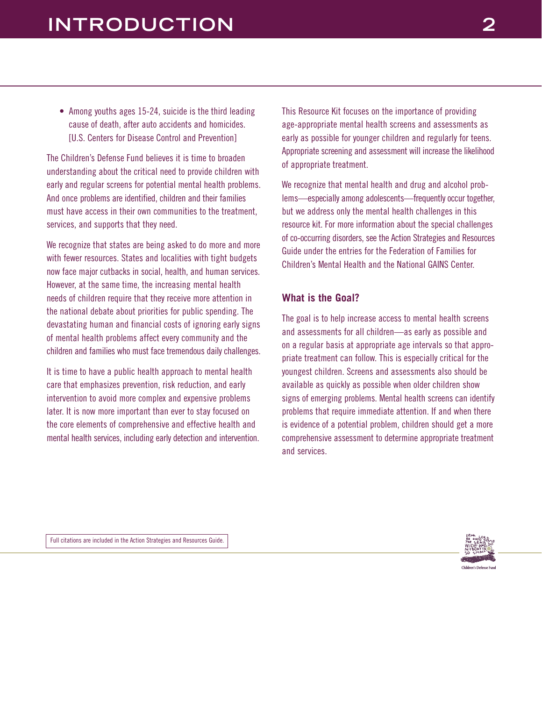• Among youths ages 15-24, suicide is the third leading cause of death, after auto accidents and homicides. [U.S. Centers for Disease Control and Prevention]

The Children's Defense Fund believes it is time to broaden understanding about the critical need to provide children with early and regular screens for potential mental health problems. And once problems are identified, children and their families must have access in their own communities to the treatment, services, and supports that they need.

We recognize that states are being asked to do more and more with fewer resources. States and localities with tight budgets now face major cutbacks in social, health, and human services. However, at the same time, the increasing mental health needs of children require that they receive more attention in the national debate about priorities for public spending. The devastating human and financial costs of ignoring early signs of mental health problems affect every community and the children and families who must face tremendous daily challenges.

It is time to have a public health approach to mental health care that emphasizes prevention, risk reduction, and early intervention to avoid more complex and expensive problems later. It is now more important than ever to stay focused on the core elements of comprehensive and effective health and mental health services, including early detection and intervention. This Resource Kit focuses on the importance of providing age-appropriate mental health screens and assessments as early as possible for younger children and regularly for teens. Appropriate screening and assessment will increase the likelihood of appropriate treatment.

We recognize that mental health and drug and alcohol problems—especially among adolescents—frequently occur together, but we address only the mental health challenges in this resource kit. For more information about the special challenges of co-occurring disorders, see the Action Strategies and Resources Guide under the entries for the Federation of Families for Children's Mental Health and the National GAINS Center.

### **What is the Goal?**

The goal is to help increase access to mental health screens and assessments for all children—as early as possible and on a regular basis at appropriate age intervals so that appropriate treatment can follow. This is especially critical for the youngest children. Screens and assessments also should be available as quickly as possible when older children show signs of emerging problems. Mental health screens can identify problems that require immediate attention. If and when there is evidence of a potential problem, children should get a more comprehensive assessment to determine appropriate treatment and services.

Full citations are included in the Action Strategies and Resources Guide.